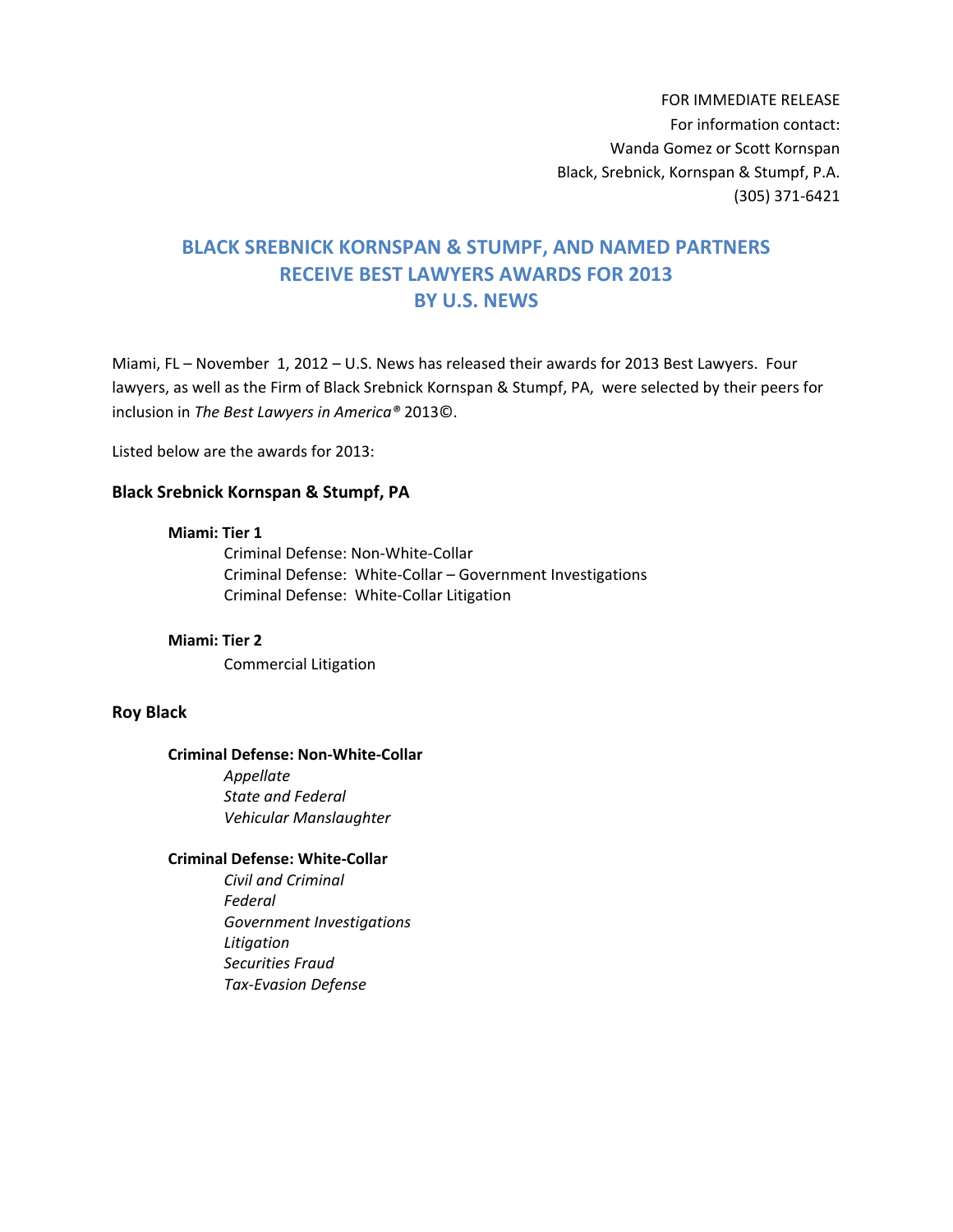FOR IMMEDIATE RELEASE For information contact: Wanda Gomez or Scott Kornspan Black, Srebnick, Kornspan & Stumpf, P.A. (305) 371-6421

# **BLACK SREBNICK KORNSPAN & STUMPF, AND NAMED PARTNERS RECEIVE BEST LAWYERS AWARDS FOR 2013 BY U.S. NEWS**

Miami, FL – November 1, 2012 – U.S. News has released their awards for 2013 Best Lawyers. Four lawyers, as well as the Firm of Black Srebnick Kornspan & Stumpf, PA, were selected by their peers for inclusion in *The Best Lawyers in America®* 2013©.

Listed below are the awards for 2013:

### **Black Srebnick Kornspan & Stumpf, PA**

## **Miami: Tier 1**

Criminal Defense: Non-White-Collar Criminal Defense: White-Collar – Government Investigations Criminal Defense: White-Collar Litigation

## **Miami: Tier 2**

Commercial Litigation

## **Roy Black**

#### **Criminal Defense: Non-White-Collar**

*Appellate State and Federal Vehicular Manslaughter* 

# **Criminal Defense: White-Collar**

*Civil and Criminal Federal Government Investigations Litigation Securities Fraud Tax-Evasion Defense*